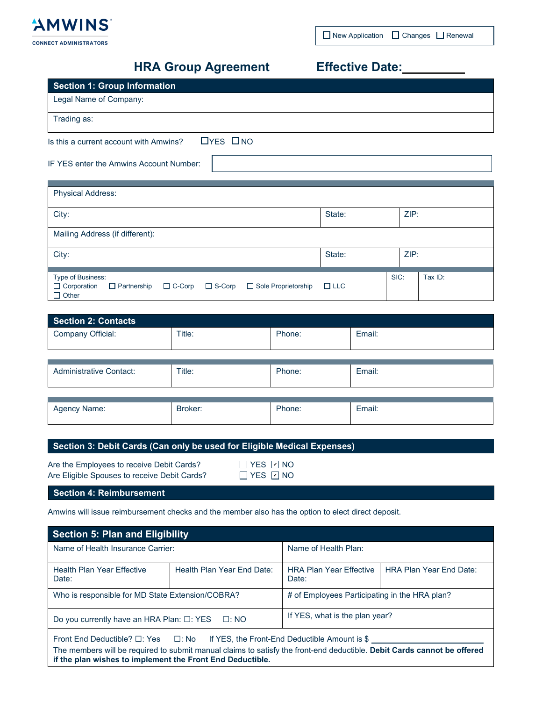

 $\Box$  New Application  $\Box$  Changes  $\Box$  Renewal

# **HRA Group Agreement**

| <b>Effective Date:</b> |  |
|------------------------|--|
|------------------------|--|

| <b>Section 1: Group Information</b>                            |        |      |
|----------------------------------------------------------------|--------|------|
| Legal Name of Company:                                         |        |      |
| Trading as:                                                    |        |      |
| $\Box$ YES $\Box$ NO<br>Is this a current account with Amwins? |        |      |
| IF YES enter the Amwins Account Number:                        |        |      |
|                                                                |        |      |
| <b>Physical Address:</b>                                       |        |      |
| City:                                                          | State: | ZIP: |
| Mailing Address (if different):                                |        |      |
| City:                                                          | State: | ZIP: |

| .                                                                                                        | --------   |      |         |
|----------------------------------------------------------------------------------------------------------|------------|------|---------|
| Type of Business:<br>□ Corporation □ Partnership □ C-Corp □ S-Corp □ Sole Proprietorship<br>$\Box$ Other | $\Box$ LLC | SIC: | Tax ID: |
|                                                                                                          |            |      |         |

| <b>Section 2: Contacts</b>     |         |        |        |
|--------------------------------|---------|--------|--------|
| Company Official:              | Title:  | Phone: | Email: |
|                                |         |        |        |
| <b>Administrative Contact:</b> | Title:  | Phone: | Email: |
|                                |         |        |        |
| Agency Name:                   | Broker: | Phone: | Email: |

|  | Section 3: Debit Cards (Can only be used for Eligible Medical Expenses) |  |
|--|-------------------------------------------------------------------------|--|
|--|-------------------------------------------------------------------------|--|

| Are the Employees to receive Debit Cards?    |  |
|----------------------------------------------|--|
| Are Eligible Spouses to receive Debit Cards? |  |

YES <u>IYI</u> NO YES 12 NO

**Section 4: Reimbursement**

Amwins will issue reimbursement checks and the member also has the option to elect direct deposit.

| <b>Section 5: Plan and Eligibility</b>                                                                                                                                                                                                                                                     |                            |                                               |                                |  |  |
|--------------------------------------------------------------------------------------------------------------------------------------------------------------------------------------------------------------------------------------------------------------------------------------------|----------------------------|-----------------------------------------------|--------------------------------|--|--|
| Name of Health Insurance Carrier:                                                                                                                                                                                                                                                          |                            | Name of Health Plan:                          |                                |  |  |
| <b>Health Plan Year Effective</b><br>Date:                                                                                                                                                                                                                                                 | Health Plan Year Fnd Date: | <b>HRA Plan Year Fffective</b><br>Date:       | <b>HRA Plan Year End Date:</b> |  |  |
| Who is responsible for MD State Extension/COBRA?                                                                                                                                                                                                                                           |                            | # of Employees Participating in the HRA plan? |                                |  |  |
| Do you currently have an HRA Plan: $\square$ : YES $\square$ : NO                                                                                                                                                                                                                          |                            | If YES, what is the plan year?                |                                |  |  |
| Front End Deductible? $\square$ : Yes $\square$ : No If YES, the Front-End Deductible Amount is \$<br>The members will be required to submit manual claims to satisfy the front-end deductible. Debit Cards cannot be offered<br>if the plan wishes to implement the Front End Deductible. |                            |                                               |                                |  |  |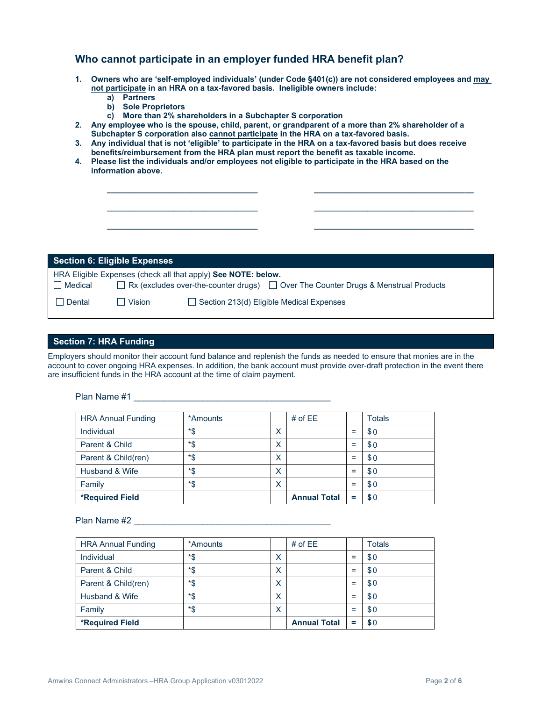## **Who cannot participate in an employer funded HRA benefit plan?**

- **1. Owners who are 'self-employed individuals' (under Code §401(c)) are not considered employees and may not participate in an HRA on a tax-favored basis. Ineligible owners include:**
	- **a) Partners**
	- **b) Sole Proprietors**
	- **c) More than 2% shareholders in a Subchapter S corporation**
- **2. Any employee who is the spouse, child, parent, or grandparent of a more than 2% shareholder of a Subchapter S corporation also cannot participate in the HRA on a tax-favored basis.**
- **3. Any individual that is not 'eligible' to participate in the HRA on a tax-favored basis but does receive benefits/reimbursement from the HRA plan must report the benefit as taxable income.**

**\_\_\_\_\_\_\_\_\_\_\_\_\_\_\_\_\_\_\_\_\_\_\_\_\_\_\_\_\_\_\_\_\_\_ \_\_\_\_\_\_\_\_\_\_\_\_\_\_\_\_\_\_\_\_\_\_\_\_\_\_\_\_\_\_\_\_\_\_\_\_**

**\_\_\_\_\_\_\_\_\_\_\_\_\_\_\_\_\_\_\_\_\_\_\_\_\_\_\_\_\_\_\_\_\_\_ \_\_\_\_\_\_\_\_\_\_\_\_\_\_\_\_\_\_\_\_\_\_\_\_\_\_\_\_\_\_\_\_\_\_\_\_**

**4. Please list the individuals and/or employees not eligible to participate in the HRA based on the information above.**

|                | <b>Section 6: Eligible Expenses</b> |                                                                                                                                                       |
|----------------|-------------------------------------|-------------------------------------------------------------------------------------------------------------------------------------------------------|
| $\Box$ Medical |                                     | HRA Eligible Expenses (check all that apply) See NOTE: below.<br>□ Rx (excludes over-the-counter drugs) □ Over The Counter Drugs & Menstrual Products |
| Dental         | $\Box$ Vision                       | $\Box$ Section 213(d) Eligible Medical Expenses                                                                                                       |

## **Section 7: HRA Funding**

Employers should monitor their account fund balance and replenish the funds as needed to ensure that monies are in the account to cover ongoing HRA expenses. In addition, the bank account must provide over-draft protection in the event there are insufficient funds in the HRA account at the time of claim payment.

#### Plan Name #1 \_\_\_\_\_\_\_\_\_\_\_\_\_\_\_\_\_\_\_\_\_\_\_\_\_\_\_\_\_\_\_\_\_\_\_\_\_\_\_\_

| <b>HRA Annual Funding</b> | *Amounts |   | # of $EE$           |     | <b>Totals</b> |
|---------------------------|----------|---|---------------------|-----|---------------|
| Individual                | *\$      | X |                     | Ξ   | \$0           |
| Parent & Child            | *\$      | X |                     | $=$ | \$0           |
| Parent & Child(ren)       | *\$      | X |                     | $=$ | \$0           |
| Husband & Wife            | *\$      | X |                     | $=$ | \$0           |
| Family                    | *\$      | X |                     | $=$ | \$0           |
| <b>*Required Field</b>    |          |   | <b>Annual Total</b> | =   | \$0           |

## Plan Name #2 **and 19** and 19 and 19 and 19 and 19 and 19 and 19 and 19 and 19 and 19 and 19 and 19 and 19 and 19 and 19 and 19 and 19 and 19 and 19 and 19 and 19 and 19 and 19 and 19 and 19 and 19 and 19 and 19 and 19 and

| <b>HRA Annual Funding</b> | *Amounts |   | # of $EE$           |     | <b>Totals</b> |
|---------------------------|----------|---|---------------------|-----|---------------|
| Individual                | *\$      | Χ |                     | $=$ | \$0           |
| Parent & Child            | *\$      | Χ |                     | $=$ | \$0           |
| Parent & Child(ren)       | *\$      | Х |                     | $=$ | \$0           |
| Husband & Wife            | *\$      | Х |                     | $=$ | \$0           |
| Family                    | *\$      | X |                     | $=$ | \$0           |
| <b>*Required Field</b>    |          |   | <b>Annual Total</b> | =   | \$0           |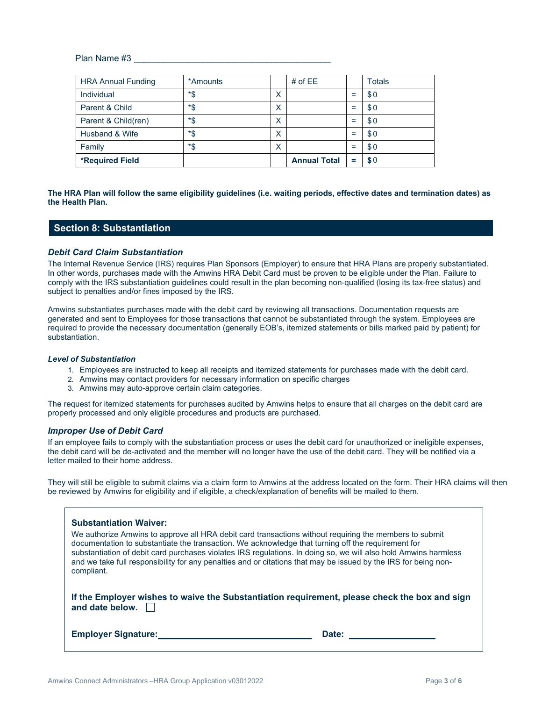Plan Name #3 \_\_\_\_\_\_\_\_\_\_\_\_\_\_\_\_\_\_\_\_\_\_\_\_\_\_\_\_\_\_\_\_\_\_\_\_\_\_\_\_

| <b>HRA Annual Funding</b> | *Amounts |   | # of $EE$           |     | <b>Totals</b> |
|---------------------------|----------|---|---------------------|-----|---------------|
| Individual                | *\$      | Х |                     | $=$ | \$0           |
| Parent & Child            | *\$      | X |                     | $=$ | \$0           |
| Parent & Child(ren)       | *\$      | X |                     | $=$ | \$0           |
| Husband & Wife            | *\$      | X |                     | $=$ | \$0           |
| Family                    | *\$      | X |                     | $=$ | \$0           |
| <b>*Required Field</b>    |          |   | <b>Annual Total</b> | =   | \$0           |

### **The HRA Plan will follow the same eligibility guidelines (i.e. waiting periods, effective dates and termination dates) as the Health Plan.**

## **Section 8: Substantiation**

## *Debit Card Claim Substantiation*

The Internal Revenue Service (IRS) requires Plan Sponsors (Employer) to ensure that HRA Plans are properly substantiated. In other words, purchases made with the Amwins HRA Debit Card must be proven to be eligible under the Plan. Failure to comply with the IRS substantiation guidelines could result in the plan becoming non-qualified (losing its tax-free status) and subject to penalties and/or fines imposed by the IRS.

Amwins substantiates purchases made with the debit card by reviewing all transactions. Documentation requests are generated and sent to Employees for those transactions that cannot be substantiated through the system. Employees are required to provide the necessary documentation (generally EOB's, itemized statements or bills marked paid by patient) for substantiation.

#### *Level of Substantiation*

- 1. Employees are instructed to keep all receipts and itemized statements for purchases made with the debit card.
- 2. Amwins may contact providers for necessary information on specific charges
- 3. Amwins may auto-approve certain claim categories.

The request for itemized statements for purchases audited by Amwins helps to ensure that all charges on the debit card are properly processed and only eligible procedures and products are purchased.

#### *Improper Use of Debit Card*

If an employee fails to comply with the substantiation process or uses the debit card for unauthorized or ineligible expenses, the debit card will be de-activated and the member will no longer have the use of the debit card. They will be notified via a letter mailed to their home address.

They will still be eligible to submit claims via a claim form to Amwins at the address located on the form. Their HRA claims will then be reviewed by Amwins for eligibility and if eligible, a check/explanation of benefits will be mailed to them.

| <b>Substantiation Waiver:</b><br>We authorize Amwins to approve all HRA debit card transactions without requiring the members to submit<br>documentation to substantiate the transaction. We acknowledge that turning off the requirement for<br>substantiation of debit card purchases violates IRS regulations. In doing so, we will also hold Amwins harmless<br>and we take full responsibility for any penalties and or citations that may be issued by the IRS for being non-<br>compliant. |       |  |  |
|---------------------------------------------------------------------------------------------------------------------------------------------------------------------------------------------------------------------------------------------------------------------------------------------------------------------------------------------------------------------------------------------------------------------------------------------------------------------------------------------------|-------|--|--|
| If the Employer wishes to waive the Substantiation requirement, please check the box and sign<br>and date below. $\Box$                                                                                                                                                                                                                                                                                                                                                                           |       |  |  |
| <b>Emplover Signature:</b>                                                                                                                                                                                                                                                                                                                                                                                                                                                                        | Date: |  |  |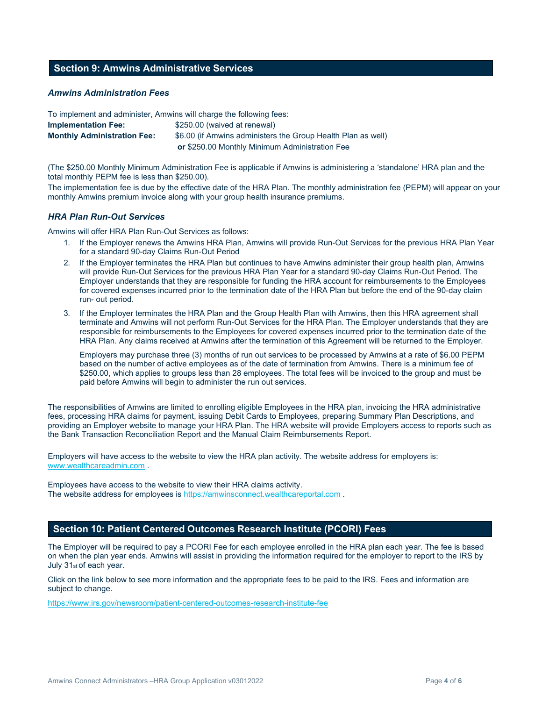## **Section 9: Amwins Administrative Services**

## *Amwins Administration Fees*

| To implement and administer, Amwins will charge the following fees: |                                                              |
|---------------------------------------------------------------------|--------------------------------------------------------------|
| <b>Implementation Fee:</b>                                          | \$250.00 (waived at renewal)                                 |
| <b>Monthly Administration Fee:</b>                                  | \$6.00 (if Amwins administers the Group Health Plan as well) |
|                                                                     | or \$250.00 Monthly Minimum Administration Fee               |

(The \$250.00 Monthly Minimum Administration Fee is applicable if Amwins is administering a 'standalone' HRA plan and the total monthly PEPM fee is less than \$250.00).

The implementation fee is due by the effective date of the HRA Plan. The monthly administration fee (PEPM) will appear on your monthly Amwins premium invoice along with your group health insurance premiums.

## *HRA Plan Run-Out Services*

Amwins will offer HRA Plan Run-Out Services as follows:

- 1. If the Employer renews the Amwins HRA Plan, Amwins will provide Run-Out Services for the previous HRA Plan Year for a standard 90-day Claims Run-Out Period
- 2. If the Employer terminates the HRA Plan but continues to have Amwins administer their group health plan, Amwins will provide Run-Out Services for the previous HRA Plan Year for a standard 90-day Claims Run-Out Period. The Employer understands that they are responsible for funding the HRA account for reimbursements to the Employees for covered expenses incurred prior to the termination date of the HRA Plan but before the end of the 90-day claim run- out period.
- 3. If the Employer terminates the HRA Plan and the Group Health Plan with Amwins, then this HRA agreement shall terminate and Amwins will not perform Run-Out Services for the HRA Plan. The Employer understands that they are responsible for reimbursements to the Employees for covered expenses incurred prior to the termination date of the HRA Plan. Any claims received at Amwins after the termination of this Agreement will be returned to the Employer.

Employers may purchase three (3) months of run out services to be processed by Amwins at a rate of \$6.00 PEPM based on the number of active employees as of the date of termination from Amwins. There is a minimum fee of \$250.00, which applies to groups less than 28 employees. The total fees will be invoiced to the group and must be paid before Amwins will begin to administer the run out services.

The responsibilities of Amwins are limited to enrolling eligible Employees in the HRA plan, invoicing the HRA administrative fees, processing HRA claims for payment, issuing Debit Cards to Employees, preparing Summary Plan Descriptions, and providing an Employer website to manage your HRA Plan. The HRA website will provide Employers access to reports such as the Bank Transaction Reconciliation Report and the Manual Claim Reimbursements Report.

Employers will have access to the website to view the HRA plan activity. The website address for employers is: www.wealthcareadmin.com .

Employees have access to the website to view their HRA claims activity. The website address for employees i[s https://amwinsconnect.wealthcareportal.com](https://amwinsconnect.wealthcareportal.com/) .

## **Section 10: Patient Centered Outcomes Research Institute (PCORI) Fees**

The Employer will be required to pay a PCORI Fee for each employee enrolled in the HRA plan each year. The fee is based on when the plan year ends. Amwins will assist in providing the information required for the employer to report to the IRS by July 31st of each year.

Click on the link below to see more information and the appropriate fees to be paid to the IRS. Fees and information are subject to change.

<https://www.irs.gov/newsroom/patient-centered-outcomes-research-institute-fee>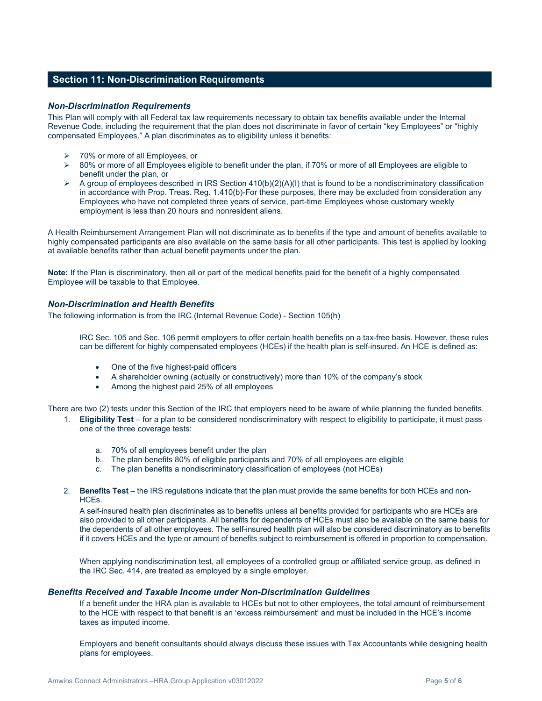## **Section 11: Non-Discrimination Requirements**

### *Non-Discrimination Requirements*

This Plan will comply with all Federal tax law requirements necessary to obtain tax benefits available under the Internal Revenue Code, including the requirement that the plan does not discriminate in favor of certain "key Employees" or "highly compensated Employees." A plan discriminates as to eligibility unless it benefits:

- 70% or more of all Employees, or
- $80%$  or more of all Employees eligible to benefit under the plan, if 70% or more of all Employees are eligible to benefit under the plan, or
- $\triangleright$  A group of employees described in IRS Section 410(b)(2)(A)(I) that is found to be a nondiscriminatory classification in accordance with Prop. Treas. Reg. 1.410(b)-For these purposes, there may be excluded from consideration any Employees who have not completed three years of service, part-time Employees whose customary weekly employment is less than 20 hours and nonresident aliens.

A Health Reimbursement Arrangement Plan will not discriminate as to benefits if the type and amount of benefits available to highly compensated participants are also available on the same basis for all other participants. This test is applied by looking at available benefits rather than actual benefit payments under the plan.

**Note:** If the Plan is discriminatory, then all or part of the medical benefits paid for the benefit of a highly compensated Employee will be taxable to that Employee.

## *Non-Discrimination and Health Benefits*

The following information is from the IRC (Internal Revenue Code) - Section 105(h)

IRC Sec. 105 and Sec. 106 permit employers to offer certain health benefits on a tax-free basis. However, these rules can be different for highly compensated employees (HCEs) if the health plan is self-insured. An HCE is defined as:

- One of the five highest-paid officers
- A shareholder owning (actually or constructively) more than 10% of the company's stock
- Among the highest paid 25% of all employees

There are two (2) tests under this Section of the IRC that employers need to be aware of while planning the funded benefits.

- 1. **Eligibility Test**  for a plan to be considered nondiscriminatory with respect to eligibility to participate, it must pass one of the three coverage tests:
	- a. 70% of all employees benefit under the plan
	- b. The plan benefits 80% of eligible participants and 70% of all employees are eligible
	- c. The plan benefits a nondiscriminatory classification of employees (not HCEs)
- 2. **Benefits Test**  the IRS regulations indicate that the plan must provide the same benefits for both HCEs and non-HCEs.

A self-insured health plan discriminates as to benefits unless all benefits provided for participants who are HCEs are also provided to all other participants. All benefits for dependents of HCEs must also be available on the same basis for the dependents of all other employees. The self-insured health plan will also be considered discriminatory as to benefits if it covers HCEs and the type or amount of benefits subject to reimbursement is offered in proportion to compensation.

When applying nondiscrimination test, all employees of a controlled group or affiliated service group, as defined in the IRC Sec. 414, are treated as employed by a single employer.

## *Benefits Received and Taxable Income under Non-Discrimination Guidelines*

If a benefit under the HRA plan is available to HCEs but not to other employees, the total amount of reimbursement to the HCE with respect to that benefit is an 'excess reimbursement' and must be included in the HCE's income taxes as imputed income.

Employers and benefit consultants should always discuss these issues with Tax Accountants while designing health plans for employees.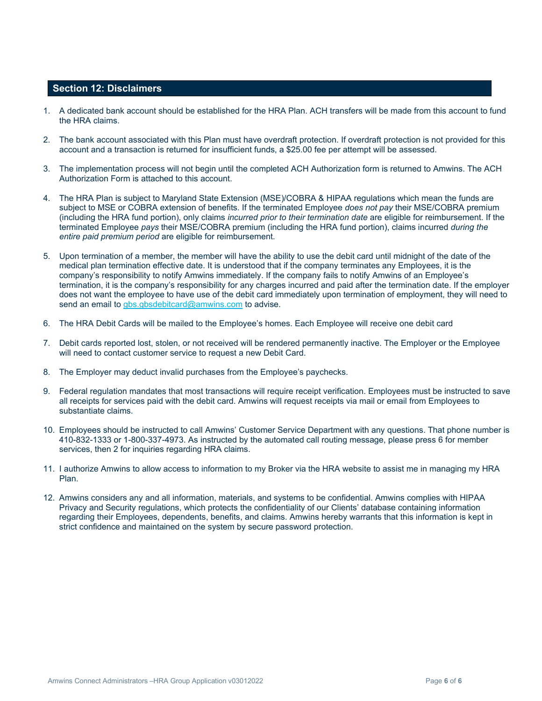## **Section 12: Disclaimers**

- 1. A dedicated bank account should be established for the HRA Plan. ACH transfers will be made from this account to fund the HRA claims.
- 2. The bank account associated with this Plan must have overdraft protection. If overdraft protection is not provided for this account and a transaction is returned for insufficient funds, a \$25.00 fee per attempt will be assessed.
- 3. The implementation process will not begin until the completed ACH Authorization form is returned to Amwins. The ACH Authorization Form is attached to this account.
- 4. The HRA Plan is subject to Maryland State Extension (MSE)/COBRA & HIPAA regulations which mean the funds are subject to MSE or COBRA extension of benefits. If the terminated Employee *does not pay* their MSE/COBRA premium (including the HRA fund portion), only claims *incurred prior to their termination date* are eligible for reimbursement. If the terminated Employee *pays* their MSE/COBRA premium (including the HRA fund portion), claims incurred *during the entire paid premium period* are eligible for reimbursement.
- 5. Upon termination of a member, the member will have the ability to use the debit card until midnight of the date of the medical plan termination effective date. It is understood that if the company terminates any Employees, it is the company's responsibility to notify Amwins immediately. If the company fails to notify Amwins of an Employee's termination, it is the company's responsibility for any charges incurred and paid after the termination date. If the employer does not want the employee to have use of the debit card immediately upon termination of employment, they will need to send an email to [gbs.gbsdebitcard@amwins.com](mailto:gbs.gbsdebitcard@amwins.com) to advise.
- 6. The HRA Debit Cards will be mailed to the Employee's homes. Each Employee will receive one debit card
- 7. Debit cards reported lost, stolen, or not received will be rendered permanently inactive. The Employer or the Employee will need to contact customer service to request a new Debit Card.
- 8. The Employer may deduct invalid purchases from the Employee's paychecks.
- 9. Federal regulation mandates that most transactions will require receipt verification. Employees must be instructed to save all receipts for services paid with the debit card. Amwins will request receipts via mail or email from Employees to substantiate claims.
- 10. Employees should be instructed to call Amwins' Customer Service Department with any questions. That phone number is 410-832-1333 or 1-800-337-4973. As instructed by the automated call routing message, please press 6 for member services, then 2 for inquiries regarding HRA claims.
- 11. I authorize Amwins to allow access to information to my Broker via the HRA website to assist me in managing my HRA Plan.
- 12. Amwins considers any and all information, materials, and systems to be confidential. Amwins complies with HIPAA Privacy and Security regulations, which protects the confidentiality of our Clients' database containing information regarding their Employees, dependents, benefits, and claims. Amwins hereby warrants that this information is kept in strict confidence and maintained on the system by secure password protection.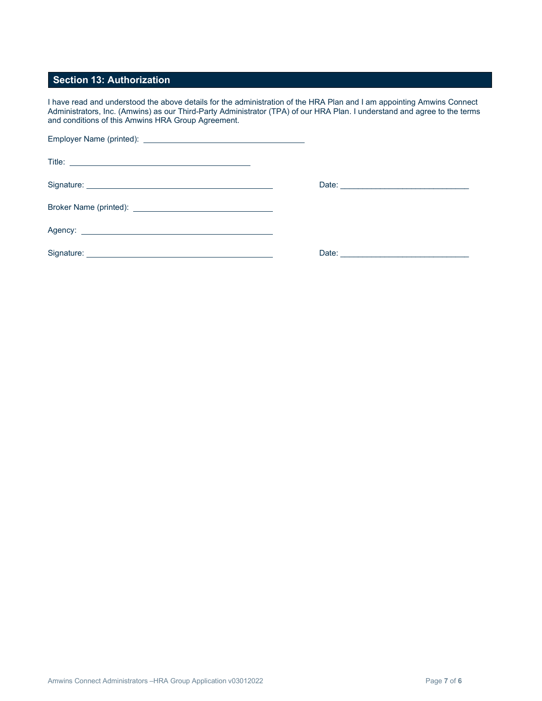## **Section 13: Authorization**

I have read and understood the above details for the administration of the HRA Plan and I am appointing Amwins Connect Administrators, Inc. (Amwins) as our Third-Party Administrator (TPA) of our HRA Plan. I understand and agree to the terms and conditions of this Amwins HRA Group Agreement.

|                                                                                                                                                                                                                                | Date: 2008 2009 2010 2021 2022 2023 2024 2022 2022 2023 2024 2022 2023 2024 2022 2023 2024 2022 2023 2024 2022 |  |
|--------------------------------------------------------------------------------------------------------------------------------------------------------------------------------------------------------------------------------|----------------------------------------------------------------------------------------------------------------|--|
| Broker Name (printed): Name (contract) and the contract of the contract of the contract of the contract of the contract of the contract of the contract of the contract of the contract of the contract of the contract of the |                                                                                                                |  |
|                                                                                                                                                                                                                                |                                                                                                                |  |
|                                                                                                                                                                                                                                |                                                                                                                |  |